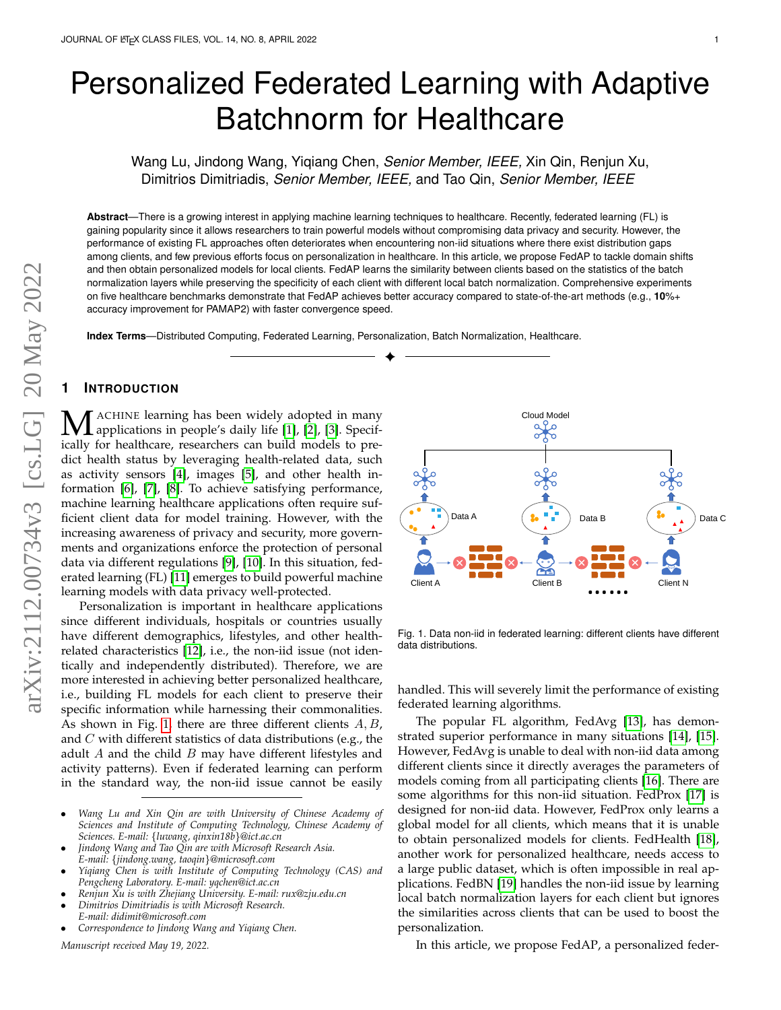# Personalized Federated Learning with Adaptive Batchnorm for Healthcare

Wang Lu, Jindong Wang, Yiqiang Chen, *Senior Member, IEEE,* Xin Qin, Renjun Xu, Dimitrios Dimitriadis, *Senior Member, IEEE,* and Tao Qin, *Senior Member, IEEE*

**Abstract**—There is a growing interest in applying machine learning techniques to healthcare. Recently, federated learning (FL) is gaining popularity since it allows researchers to train powerful models without compromising data privacy and security. However, the performance of existing FL approaches often deteriorates when encountering non-iid situations where there exist distribution gaps among clients, and few previous efforts focus on personalization in healthcare. In this article, we propose FedAP to tackle domain shifts and then obtain personalized models for local clients. FedAP learns the similarity between clients based on the statistics of the batch normalization layers while preserving the specificity of each client with different local batch normalization. Comprehensive experiments on five healthcare benchmarks demonstrate that FedAP achieves better accuracy compared to state-of-the-art methods (e.g., **10**%+ accuracy improvement for PAMAP2) with faster convergence speed.

✦

**Index Terms**—Distributed Computing, Federated Learning, Personalization, Batch Normalization, Healthcare.

# **1 INTRODUCTION**

MACHINE learning has been widely adopted in many<br>applications in people's daily life [\[1\]](#page-9-0), [\[2\]](#page-9-1), [\[3\]](#page-9-2). Specif-<br>ically for hoalthcare, researchers can huild models to proically for healthcare, researchers can build models to predict health status by leveraging health-related data, such as activity sensors [\[4\]](#page-9-3), images [\[5\]](#page-9-4), and other health information [\[6\]](#page-9-5), [\[7\]](#page-9-6), [\[8\]](#page-9-7). To achieve satisfying performance, machine learning healthcare applications often require sufficient client data for model training. However, with the increasing awareness of privacy and security, more governments and organizations enforce the protection of personal data via different regulations [\[9\]](#page-9-8), [\[10\]](#page-9-9). In this situation, federated learning (FL) [\[11\]](#page-9-10) emerges to build powerful machine learning models with data privacy well-protected.

Personalization is important in healthcare applications since different individuals, hospitals or countries usually have different demographics, lifestyles, and other healthrelated characteristics [\[12\]](#page-9-11), i.e., the non-iid issue (not identically and independently distributed). Therefore, we are more interested in achieving better personalized healthcare, i.e., building FL models for each client to preserve their specific information while harnessing their commonalities. As shown in Fig. [1,](#page-0-0) there are three different clients  $A, B$ , and C with different statistics of data distributions (e.g., the adult  $A$  and the child  $B$  may have different lifestyles and activity patterns). Even if federated learning can perform in the standard way, the non-iid issue cannot be easily

- *Wang Lu and Xin Qin are with University of Chinese Academy of Sciences and Institute of Computing Technology, Chinese Academy of Sciences. E-mail:* {*luwang, qinxin18b*}*@ict.ac.cn*
- *Jindong Wang and Tao Qin are with Microsoft Research Asia. E-mail:* {*jindong.wang, taoqin*}*@microsoft.com*
- *Yiqiang Chen is with Institute of Computing Technology (CAS) and Pengcheng Laboratory. E-mail: yqchen@ict.ac.cn*
- *Renjun Xu is with Zhejiang University. E-mail: rux@zju.edu.cn*
- *Dimitrios Dimitriadis is with Microsoft Research. E-mail: didimit@microsoft.com*
- *Correspondence to Jindong Wang and Yiqiang Chen.*

*Manuscript received May 19, 2022.*



<span id="page-0-0"></span>Fig. 1. Data non-iid in federated learning: different clients have different data distributions.

handled. This will severely limit the performance of existing federated learning algorithms.

The popular FL algorithm, FedAvg [\[13\]](#page-9-12), has demonstrated superior performance in many situations [\[14\]](#page-9-13), [\[15\]](#page-9-14). However, FedAvg is unable to deal with non-iid data among different clients since it directly averages the parameters of models coming from all participating clients [\[16\]](#page-9-15). There are some algorithms for this non-iid situation. FedProx [\[17\]](#page-9-16) is designed for non-iid data. However, FedProx only learns a global model for all clients, which means that it is unable to obtain personalized models for clients. FedHealth [\[18\]](#page-9-17), another work for personalized healthcare, needs access to a large public dataset, which is often impossible in real applications. FedBN [\[19\]](#page-9-18) handles the non-iid issue by learning local batch normalization layers for each client but ignores the similarities across clients that can be used to boost the personalization.

In this article, we propose FedAP, a personalized feder-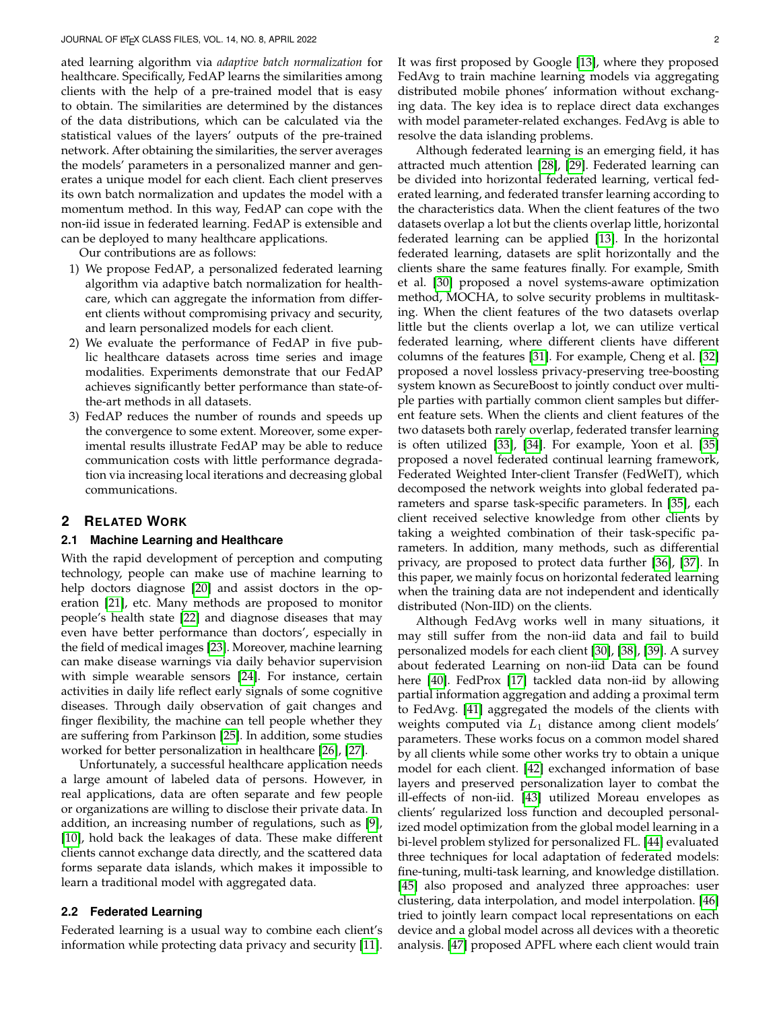ated learning algorithm via *adaptive batch normalization* for healthcare. Specifically, FedAP learns the similarities among clients with the help of a pre-trained model that is easy to obtain. The similarities are determined by the distances of the data distributions, which can be calculated via the statistical values of the layers' outputs of the pre-trained network. After obtaining the similarities, the server averages the models' parameters in a personalized manner and generates a unique model for each client. Each client preserves its own batch normalization and updates the model with a momentum method. In this way, FedAP can cope with the non-iid issue in federated learning. FedAP is extensible and can be deployed to many healthcare applications.

Our contributions are as follows:

- 1) We propose FedAP, a personalized federated learning algorithm via adaptive batch normalization for healthcare, which can aggregate the information from different clients without compromising privacy and security, and learn personalized models for each client.
- 2) We evaluate the performance of FedAP in five public healthcare datasets across time series and image modalities. Experiments demonstrate that our FedAP achieves significantly better performance than state-ofthe-art methods in all datasets.
- 3) FedAP reduces the number of rounds and speeds up the convergence to some extent. Moreover, some experimental results illustrate FedAP may be able to reduce communication costs with little performance degradation via increasing local iterations and decreasing global communications.

### **2 RELATED WORK**

#### **2.1 Machine Learning and Healthcare**

With the rapid development of perception and computing technology, people can make use of machine learning to help doctors diagnose [\[20\]](#page-9-19) and assist doctors in the operation [\[21\]](#page-9-20), etc. Many methods are proposed to monitor people's health state [\[22\]](#page-9-21) and diagnose diseases that may even have better performance than doctors', especially in the field of medical images [\[23\]](#page-9-22). Moreover, machine learning can make disease warnings via daily behavior supervision with simple wearable sensors [\[24\]](#page-9-23). For instance, certain activities in daily life reflect early signals of some cognitive diseases. Through daily observation of gait changes and finger flexibility, the machine can tell people whether they are suffering from Parkinson [\[25\]](#page-9-24). In addition, some studies worked for better personalization in healthcare [\[26\]](#page-9-25), [\[27\]](#page-9-26).

Unfortunately, a successful healthcare application needs a large amount of labeled data of persons. However, in real applications, data are often separate and few people or organizations are willing to disclose their private data. In addition, an increasing number of regulations, such as [\[9\]](#page-9-8), [\[10\]](#page-9-9), hold back the leakages of data. These make different clients cannot exchange data directly, and the scattered data forms separate data islands, which makes it impossible to learn a traditional model with aggregated data.

# **2.2 Federated Learning**

Federated learning is a usual way to combine each client's information while protecting data privacy and security [\[11\]](#page-9-10). It was first proposed by Google [\[13\]](#page-9-12), where they proposed FedAvg to train machine learning models via aggregating distributed mobile phones' information without exchanging data. The key idea is to replace direct data exchanges with model parameter-related exchanges. FedAvg is able to resolve the data islanding problems.

Although federated learning is an emerging field, it has attracted much attention [\[28\]](#page-9-27), [\[29\]](#page-9-28). Federated learning can be divided into horizontal federated learning, vertical federated learning, and federated transfer learning according to the characteristics data. When the client features of the two datasets overlap a lot but the clients overlap little, horizontal federated learning can be applied [\[13\]](#page-9-12). In the horizontal federated learning, datasets are split horizontally and the clients share the same features finally. For example, Smith et al. [\[30\]](#page-9-29) proposed a novel systems-aware optimization method, MOCHA, to solve security problems in multitasking. When the client features of the two datasets overlap little but the clients overlap a lot, we can utilize vertical federated learning, where different clients have different columns of the features [\[31\]](#page-9-30). For example, Cheng et al. [\[32\]](#page-9-31) proposed a novel lossless privacy-preserving tree-boosting system known as SecureBoost to jointly conduct over multiple parties with partially common client samples but different feature sets. When the clients and client features of the two datasets both rarely overlap, federated transfer learning is often utilized [\[33\]](#page-9-32), [\[34\]](#page-9-33). For example, Yoon et al. [\[35\]](#page-9-34) proposed a novel federated continual learning framework, Federated Weighted Inter-client Transfer (FedWeIT), which decomposed the network weights into global federated parameters and sparse task-specific parameters. In [\[35\]](#page-9-34), each client received selective knowledge from other clients by taking a weighted combination of their task-specific parameters. In addition, many methods, such as differential privacy, are proposed to protect data further [\[36\]](#page-9-35), [\[37\]](#page-9-36). In this paper, we mainly focus on horizontal federated learning when the training data are not independent and identically distributed (Non-IID) on the clients.

Although FedAvg works well in many situations, it may still suffer from the non-iid data and fail to build personalized models for each client [\[30\]](#page-9-29), [\[38\]](#page-9-37), [\[39\]](#page-9-38). A survey about federated Learning on non-iid Data can be found here [\[40\]](#page-9-39). FedProx [\[17\]](#page-9-16) tackled data non-iid by allowing partial information aggregation and adding a proximal term to FedAvg. [\[41\]](#page-9-40) aggregated the models of the clients with weights computed via  $L_1$  distance among client models' parameters. These works focus on a common model shared by all clients while some other works try to obtain a unique model for each client. [\[42\]](#page-9-41) exchanged information of base layers and preserved personalization layer to combat the ill-effects of non-iid. [\[43\]](#page-9-42) utilized Moreau envelopes as clients' regularized loss function and decoupled personalized model optimization from the global model learning in a bi-level problem stylized for personalized FL. [\[44\]](#page-10-0) evaluated three techniques for local adaptation of federated models: fine-tuning, multi-task learning, and knowledge distillation. [\[45\]](#page-10-1) also proposed and analyzed three approaches: user clustering, data interpolation, and model interpolation. [\[46\]](#page-10-2) tried to jointly learn compact local representations on each device and a global model across all devices with a theoretic analysis. [\[47\]](#page-10-3) proposed APFL where each client would train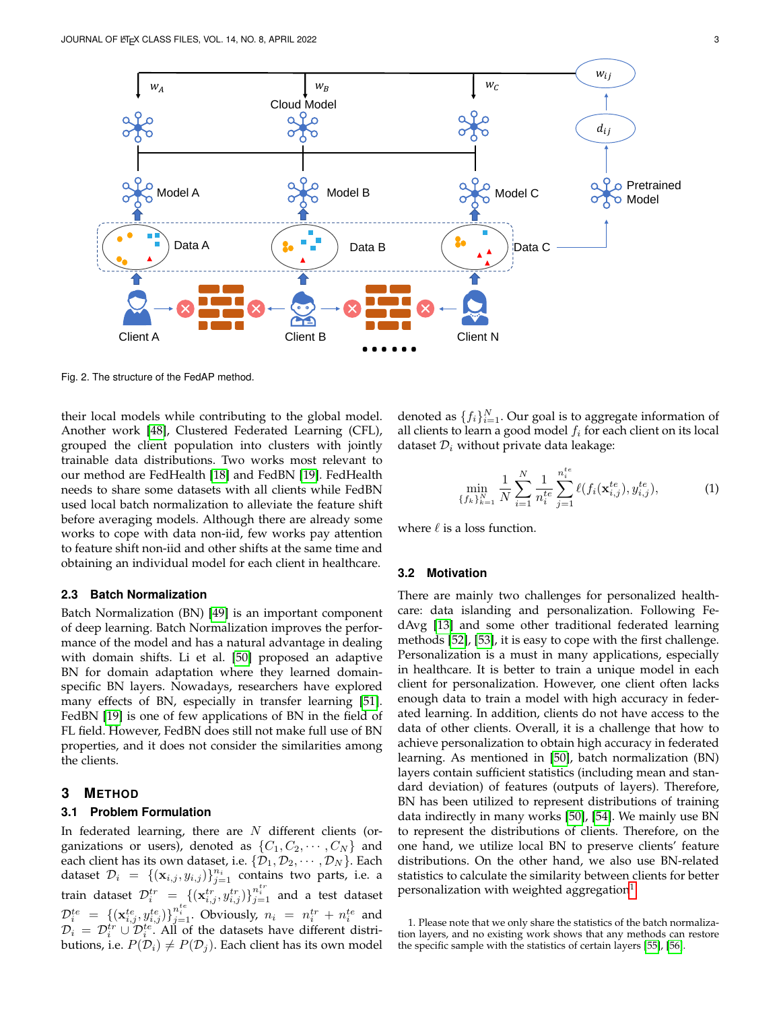

Fig. 2. The structure of the FedAP method.

their local models while contributing to the global model. Another work [\[48\]](#page-10-4), Clustered Federated Learning (CFL), grouped the client population into clusters with jointly trainable data distributions. Two works most relevant to our method are FedHealth [\[18\]](#page-9-17) and FedBN [\[19\]](#page-9-18). FedHealth needs to share some datasets with all clients while FedBN used local batch normalization to alleviate the feature shift before averaging models. Although there are already some works to cope with data non-iid, few works pay attention to feature shift non-iid and other shifts at the same time and obtaining an individual model for each client in healthcare.

#### **2.3 Batch Normalization**

Batch Normalization (BN) [\[49\]](#page-10-5) is an important component of deep learning. Batch Normalization improves the performance of the model and has a natural advantage in dealing with domain shifts. Li et al. [\[50\]](#page-10-6) proposed an adaptive BN for domain adaptation where they learned domainspecific BN layers. Nowadays, researchers have explored many effects of BN, especially in transfer learning [\[51\]](#page-10-7). FedBN [\[19\]](#page-9-18) is one of few applications of BN in the field of FL field. However, FedBN does still not make full use of BN properties, and it does not consider the similarities among the clients.

# **3 METHOD**

# **3.1 Problem Formulation**

In federated learning, there are  $N$  different clients (organizations or users), denoted as  $\{C_1, C_2, \cdots, C_N\}$  and each client has its own dataset, i.e.  $\{\mathcal{D}_1, \mathcal{D}_2, \cdots, \mathcal{D}_N\}$ . Each dataset  $\mathcal{D}_i = \{(\mathbf{x}_{i,j}, y_{i,j})\}_{j=1}^{n_i}$  contains two parts, i.e. a train dataset  $\mathcal{D}_i^{tr} = \{(\mathbf{x}_{i,j}^{tr}, y_{i,j}^{tr})\}_{j=1}^{n_i^{tr}}$  and a test dataset  $\mathcal{D}_i^{te} = \{ (\mathbf{x}_{i,j}^{te}, y_{i,j}^{te}) \}_{j=1}^{n_i^{te}}$ . Obviously,  $n_i = n_i^{tr} + n_i^{te}$  and  $\mathcal{D}_i = \mathcal{D}_i^{tr} \cup \mathcal{D}_i^{te}$ . All of the datasets have different distributions, i.e.  $P(\mathcal{D}_i) \neq P(\mathcal{D}_i)$ . Each client has its own model

denoted as  $\{f_i\}_{i=1}^N$ . Our goal is to aggregate information of all clients to learn a good model  $f_i$  for each client on its local dataset  $\mathcal{D}_i$  without private data leakage:

<span id="page-2-1"></span>
$$
\min_{\{f_k\}_{k=1}^N} \frac{1}{N} \sum_{i=1}^N \frac{1}{n_i^{te}} \sum_{j=1}^{n_i^{te}} \ell(f_i(\mathbf{x}_{i,j}^{te}), y_{i,j}^{te}), \tag{1}
$$

where  $\ell$  is a loss function.

#### **3.2 Motivation**

There are mainly two challenges for personalized healthcare: data islanding and personalization. Following FedAvg [\[13\]](#page-9-12) and some other traditional federated learning methods [\[52\]](#page-10-8), [\[53\]](#page-10-9), it is easy to cope with the first challenge. Personalization is a must in many applications, especially in healthcare. It is better to train a unique model in each client for personalization. However, one client often lacks enough data to train a model with high accuracy in federated learning. In addition, clients do not have access to the data of other clients. Overall, it is a challenge that how to achieve personalization to obtain high accuracy in federated learning. As mentioned in [\[50\]](#page-10-6), batch normalization (BN) layers contain sufficient statistics (including mean and standard deviation) of features (outputs of layers). Therefore, BN has been utilized to represent distributions of training data indirectly in many works [\[50\]](#page-10-6), [\[54\]](#page-10-10). We mainly use BN to represent the distributions of clients. Therefore, on the one hand, we utilize local BN to preserve clients' feature distributions. On the other hand, we also use BN-related statistics to calculate the similarity between clients for better personalization with weighted aggregation $^1$  $^1$ .

<span id="page-2-0"></span><sup>1.</sup> Please note that we only share the statistics of the batch normalization layers, and no existing work shows that any methods can restore the specific sample with the statistics of certain layers [\[55\]](#page-10-11), [\[56\]](#page-10-12).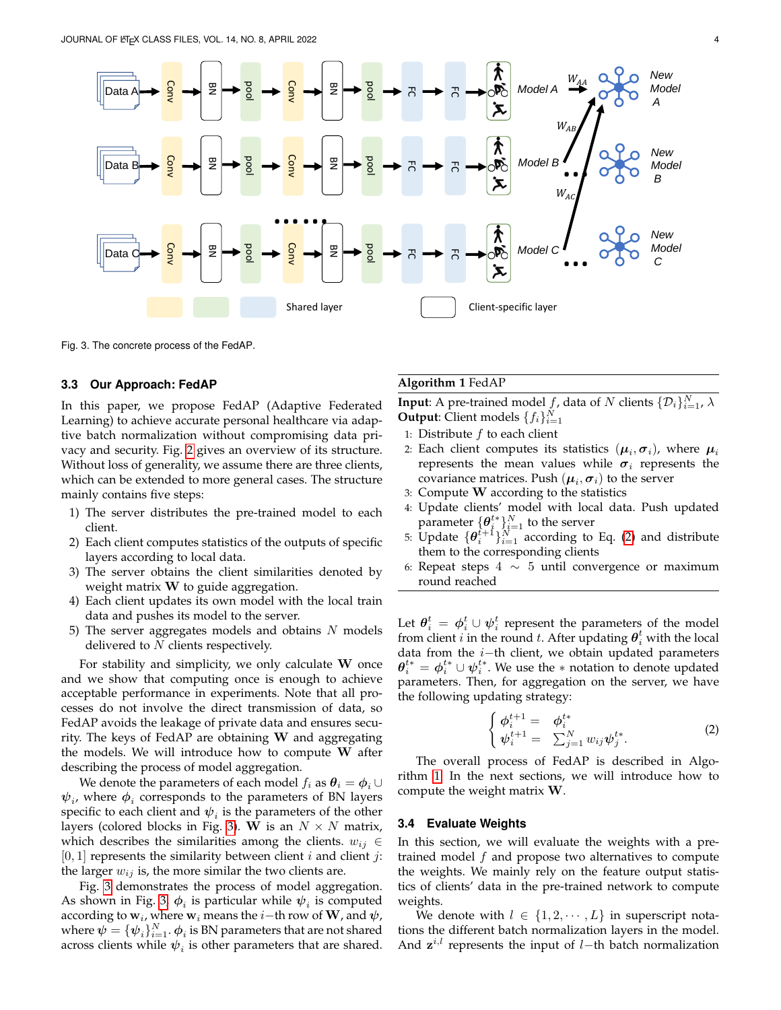

Fig. 3. The concrete process of the FedAP.

### **3.3 Our Approach: FedAP**

In this paper, we propose FedAP (Adaptive Federated Learning) to achieve accurate personal healthcare via adaptive batch normalization without compromising data privacy and security. Fig. [2](#page-2-1) gives an overview of its structure. Without loss of generality, we assume there are three clients, which can be extended to more general cases. The structure mainly contains five steps:

- 1) The server distributes the pre-trained model to each client.
- 2) Each client computes statistics of the outputs of specific layers according to local data.
- 3) The server obtains the client similarities denoted by weight matrix  $W$  to guide aggregation.
- 4) Each client updates its own model with the local train data and pushes its model to the server.
- 5) The server aggregates models and obtains  $N$  models delivered to  $N$  clients respectively.

For stability and simplicity, we only calculate W once and we show that computing once is enough to achieve acceptable performance in experiments. Note that all processes do not involve the direct transmission of data, so FedAP avoids the leakage of private data and ensures security. The keys of FedAP are obtaining  $W$  and aggregating the models. We will introduce how to compute  $W$  after describing the process of model aggregation.

We denote the parameters of each model  $f_i$  as  $\theta_i = \phi_i \cup$  $\psi_i$ , where  $\phi_i$  corresponds to the parameters of BN layers specific to each client and  $\psi_i$  is the parameters of the other layers (colored blocks in Fig. [3\)](#page-3-0). W is an  $N \times N$  matrix, which describes the similarities among the clients.  $w_{ij} \in$  $[0, 1]$  represents the similarity between client *i* and client *j*: the larger  $w_{ij}$  is, the more similar the two clients are.

Fig. [3](#page-3-0) demonstrates the process of model aggregation. As shown in Fig. [3,](#page-3-0)  $\phi_i$  is particular while  $\psi_i$  is computed according to  $\mathbf{w}_i$ , where  $\mathbf{w}_i$  means the  $i-$ th row of  $\mathbf{W}$ , and  $\boldsymbol{\psi}$ , where  $\pmb{\psi} = \{\pmb{\psi}_i\}_{i=1}^N.$   $\pmb{\phi}_i$  is BN parameters that are not shared across clients while  $\psi_i$  is other parameters that are shared.

# <span id="page-3-0"></span>**Algorithm 1** FedAP

<span id="page-3-2"></span>**Input:** A pre-trained model  $f$ , data of N clients  $\{\mathcal{D}_i\}_{i=1}^N$ ,  $\lambda$ **Output:** Client models  $\{f_i\}_{i=1}^N$ 

- 1: Distribute  $f$  to each client
- 2: Each client computes its statistics  $(\boldsymbol{\mu}_i, \boldsymbol{\sigma}_i)$ , where  $\boldsymbol{\mu}_i$ represents the mean values while  $\sigma_i$  represents the covariance matrices. Push  $(\boldsymbol{\mu}_i,\boldsymbol{\sigma}_i)$  to the server
- 3: Compute W according to the statistics
- 4: Update clients' model with local data. Push updated parameter  $\{\boldsymbol{\theta}_i^{t*}\}_{i=1}^N$  to the server
- 5: Update  $\{\theta_i^{i+1}\}_{i=1}^N$  according to Eq. [\(2\)](#page-3-1) and distribute them to the corresponding clients
- 6: Repeat steps  $4 \sim 5$  until convergence or maximum round reached

Let  $\boldsymbol{\theta}_i^t \,=\, \boldsymbol{\phi}_i^t \cup \boldsymbol{\psi}_i^t$  represent the parameters of the model from client i in the round t. After updating  $\boldsymbol{\theta}_i^t$  with the local data from the  $i$ −th client, we obtain updated parameters  $\boldsymbol{\theta}_i^{t*} = \boldsymbol{\phi}_i^{t*} \cup \boldsymbol{\psi}_i^{t*}$ . We use the  $*$  notation to denote updated parameters. Then, for aggregation on the server, we have the following updating strategy:

<span id="page-3-1"></span>
$$
\begin{cases}\n\phi_i^{t+1} = \phi_i^{t*} \\
\psi_i^{t+1} = \sum_{j=1}^N w_{ij} \psi_j^{t*}.\n\end{cases}
$$
\n(2)

The overall process of FedAP is described in Algorithm [1.](#page-3-2) In the next sections, we will introduce how to compute the weight matrix W.

#### **3.4 Evaluate Weights**

In this section, we will evaluate the weights with a pretrained model  $f$  and propose two alternatives to compute the weights. We mainly rely on the feature output statistics of clients' data in the pre-trained network to compute weights.

We denote with  $l \in \{1, 2, \dots, L\}$  in superscript notations the different batch normalization layers in the model. And  $z^{i,l}$  represents the input of l–th batch normalization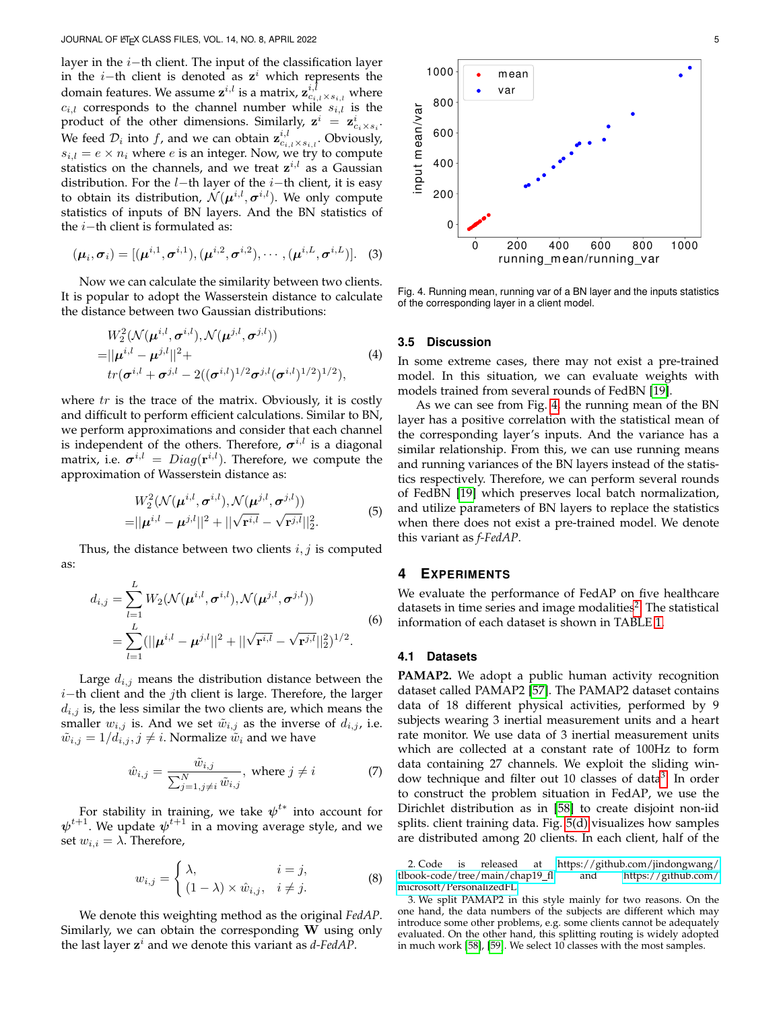layer in the  $i$ −th client. The input of the classification layer in the *i*−th client is denoted as  $z^i$  which represents the domain features. We assume  $\mathbf{z}^{i,l}$  is a matrix,  $\mathbf{z}_{c_{i,l}\times s_{i,l}}^{i,l}$  where  $c_{i,l}$  corresponds to the channel number while  $s_{i,l}$  is the product of the other dimensions. Similarly,  $\mathbf{z}^i = \mathbf{z}^i_{c_i \times s_i}$ . We feed  $\mathcal{D}_i$  into  $f$ , and we can obtain  $\mathbf{z}_{c_{i,l}\times s_{i,l}}^{i,l}$ . Obviously,  $s_{i,l} = e \times n_i$  where *e* is an integer. Now, we try to compute statistics on the channels, and we treat  $z^{i,l}$  as a Gaussian distribution. For the  $l$ −th layer of the  $i$ −th client, it is easy to obtain its distribution,  $\mathcal{N}(\bm{\mu}^{i,l}, \bm{\sigma}^{i,l}).$  We only compute statistics of inputs of BN layers. And the BN statistics of the  $i$ −th client is formulated as:

$$
(\boldsymbol{\mu}_i, \boldsymbol{\sigma}_i) = [(\boldsymbol{\mu}^{i,1}, \boldsymbol{\sigma}^{i,1}), (\boldsymbol{\mu}^{i,2}, \boldsymbol{\sigma}^{i,2}), \cdots, (\boldsymbol{\mu}^{i,L}, \boldsymbol{\sigma}^{i,L})].
$$
 (3)

Now we can calculate the similarity between two clients. It is popular to adopt the Wasserstein distance to calculate the distance between two Gaussian distributions:

$$
W_2^2(\mathcal{N}(\mu^{i,l}, \sigma^{i,l}), \mathcal{N}(\mu^{j,l}, \sigma^{j,l}))
$$
  
=  $||\mu^{i,l} - \mu^{j,l}||^2 +$   

$$
tr(\sigma^{i,l} + \sigma^{j,l} - 2((\sigma^{i,l})^{1/2}\sigma^{j,l}(\sigma^{i,l})^{1/2})^{1/2}),
$$
 (4)

where  $tr$  is the trace of the matrix. Obviously, it is costly and difficult to perform efficient calculations. Similar to BN, we perform approximations and consider that each channel is independent of the others. Therefore,  $\sigma^{i,l}$  is a diagonal matrix, i.e.  $\boldsymbol{\sigma}^{i,l}$  =  $Diag(\mathbf{r}^{i,l})$ . Therefore, we compute the approximation of Wasserstein distance as:

$$
W_2^2(\mathcal{N}(\mu^{i,l}, \sigma^{i,l}), \mathcal{N}(\mu^{j,l}, \sigma^{j,l}))
$$
  
=  $||\mu^{i,l} - \mu^{j,l}||^2 + ||\sqrt{\mathbf{r}^{i,l}} - \sqrt{\mathbf{r}^{j,l}}||_2^2.$  (5)

Thus, the distance between two clients  $i, j$  is computed as:

$$
d_{i,j} = \sum_{l=1}^{L} W_2(\mathcal{N}(\boldsymbol{\mu}^{i,l}, \boldsymbol{\sigma}^{i,l}), \mathcal{N}(\boldsymbol{\mu}^{j,l}, \boldsymbol{\sigma}^{j,l}))
$$
  
= 
$$
\sum_{l=1}^{L} (||\boldsymbol{\mu}^{i,l} - \boldsymbol{\mu}^{j,l}||^2 + ||\sqrt{\mathbf{r}^{i,l}} - \sqrt{\mathbf{r}^{j,l}}||_2^2)^{1/2}.
$$
 (6)

Large  $d_{i,j}$  means the distribution distance between the i−th client and the jth client is large. Therefore, the larger  $d_{i,j}$  is, the less similar the two clients are, which means the smaller  $w_{i,j}$  is. And we set  $\tilde{w}_{i,j}$  as the inverse of  $d_{i,j}$ , i.e.  $\tilde{w}_{i,j} = 1/d_{i,j}, j \neq i$ . Normalize  $\tilde{w}_i$  and we have

$$
\hat{w}_{i,j} = \frac{\tilde{w}_{i,j}}{\sum_{j=1, j \neq i}^{N} \tilde{w}_{i,j}}, \text{ where } j \neq i \tag{7}
$$

For stability in training, we take  $\boldsymbol{\psi}^{t*}$  into account for  $\boldsymbol{\psi}^{t+1}$ . We update  $\boldsymbol{\psi}^{t+1}$  in a moving average style, and we set  $w_{i,i} = \lambda$ . Therefore,

$$
w_{i,j} = \begin{cases} \lambda, & i = j, \\ (1 - \lambda) \times \hat{w}_{i,j}, & i \neq j. \end{cases}
$$
 (8)

We denote this weighting method as the original *FedAP*. Similarly, we can obtain the corresponding  $W$  using only the last layer  $z^i$  and we denote this variant as *d-FedAP*.



<span id="page-4-0"></span>Fig. 4. Running mean, running var of a BN layer and the inputs statistics of the corresponding layer in a client model.

#### **3.5 Discussion**

In some extreme cases, there may not exist a pre-trained model. In this situation, we can evaluate weights with models trained from several rounds of FedBN [\[19\]](#page-9-18).

As we can see from Fig. [4,](#page-4-0) the running mean of the BN layer has a positive correlation with the statistical mean of the corresponding layer's inputs. And the variance has a similar relationship. From this, we can use running means and running variances of the BN layers instead of the statistics respectively. Therefore, we can perform several rounds of FedBN [\[19\]](#page-9-18) which preserves local batch normalization, and utilize parameters of BN layers to replace the statistics when there does not exist a pre-trained model. We denote this variant as *f-FedAP*.

### **4 EXPERIMENTS**

We evaluate the performance of FedAP on five healthcare datasets in time series and image modalities<sup>[2](#page-4-1)</sup>. The statistical information of each dataset is shown in TABLE [1.](#page-5-0)

# **4.1 Datasets**

**PAMAP2.** We adopt a public human activity recognition dataset called PAMAP2 [\[57\]](#page-10-13). The PAMAP2 dataset contains data of 18 different physical activities, performed by 9 subjects wearing 3 inertial measurement units and a heart rate monitor. We use data of 3 inertial measurement units which are collected at a constant rate of 100Hz to form data containing 27 channels. We exploit the sliding win-dow technique and filter out 10 classes of data<sup>[3](#page-4-2)</sup>. In order to construct the problem situation in FedAP, we use the Dirichlet distribution as in [\[58\]](#page-10-14) to create disjoint non-iid splits. client training data. Fig. [5\(d\)](#page-5-1) visualizes how samples are distributed among 20 clients. In each client, half of the

<span id="page-4-1"></span>2. Code is released at [https://github.com/jindongwang/](https://github.com/jindongwang/tlbook-code/tree/main/chap19_fl) [tlbook-code/tree/main/chap19](https://github.com/jindongwang/tlbook-code/tree/main/chap19_fl)\_fl [microsoft/PersonalizedFL.](https://github.com/microsoft/PersonalizedFL)

<span id="page-4-2"></span>3. We split PAMAP2 in this style mainly for two reasons. On the one hand, the data numbers of the subjects are different which may introduce some other problems, e.g. some clients cannot be adequately evaluated. On the other hand, this splitting routing is widely adopted in much work [\[58\]](#page-10-14), [\[59\]](#page-10-15). We select 10 classes with the most samples.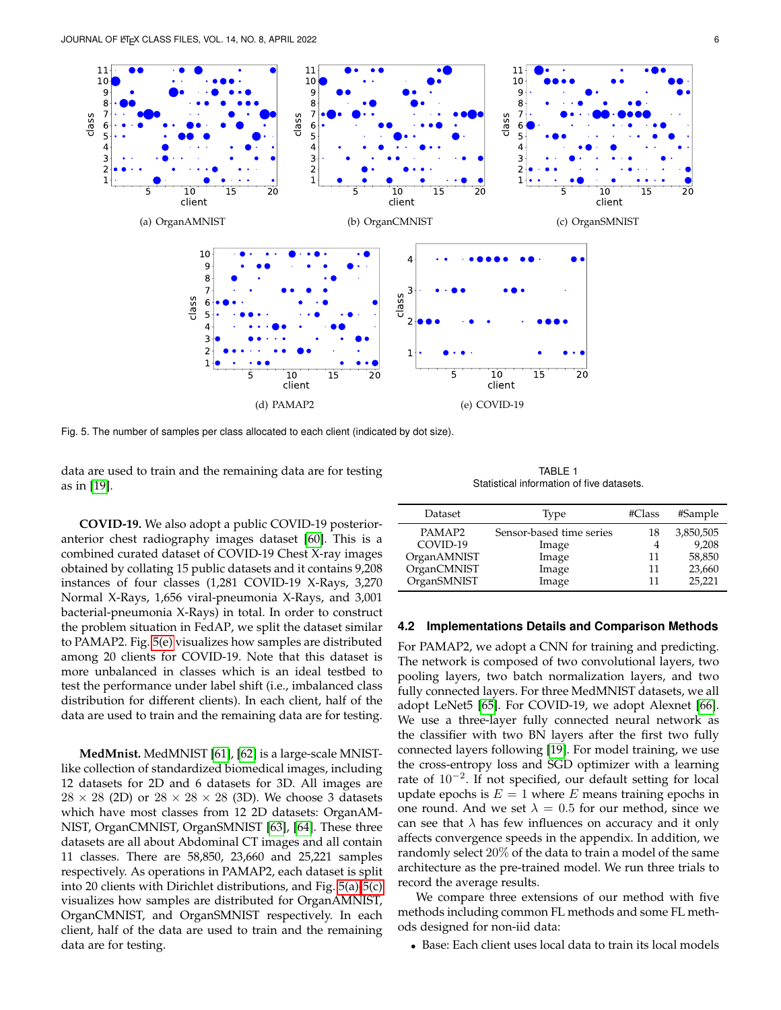<span id="page-5-3"></span><span id="page-5-1"></span>

Fig. 5. The number of samples per class allocated to each client (indicated by dot size).

data are used to train and the remaining data are for testing as in [\[19\]](#page-9-18).

**COVID-19.** We also adopt a public COVID-19 posterioranterior chest radiography images dataset [\[60\]](#page-10-16). This is a combined curated dataset of COVID-19 Chest X-ray images obtained by collating 15 public datasets and it contains 9,208 instances of four classes (1,281 COVID-19 X-Rays, 3,270 Normal X-Rays, 1,656 viral-pneumonia X-Rays, and 3,001 bacterial-pneumonia X-Rays) in total. In order to construct the problem situation in FedAP, we split the dataset similar to PAMAP2. Fig. [5\(e\)](#page-5-2) visualizes how samples are distributed among 20 clients for COVID-19. Note that this dataset is more unbalanced in classes which is an ideal testbed to test the performance under label shift (i.e., imbalanced class distribution for different clients). In each client, half of the data are used to train and the remaining data are for testing.

**MedMnist.** MedMNIST [\[61\]](#page-10-17), [\[62\]](#page-10-18) is a large-scale MNISTlike collection of standardized biomedical images, including 12 datasets for 2D and 6 datasets for 3D. All images are  $28 \times 28$  (2D) or  $28 \times 28 \times 28$  (3D). We choose 3 datasets which have most classes from 12 2D datasets: OrganAM-NIST, OrganCMNIST, OrganSMNIST [\[63\]](#page-10-19), [\[64\]](#page-10-20). These three datasets are all about Abdominal CT images and all contain 11 classes. There are 58,850, 23,660 and 25,221 samples respectively. As operations in PAMAP2, each dataset is split into 20 clients with Dirichlet distributions, and Fig. [5\(a\)-](#page-5-3)[5\(c\)](#page-5-4) visualizes how samples are distributed for OrganAMNIST, OrganCMNIST, and OrganSMNIST respectively. In each client, half of the data are used to train and the remaining data are for testing.

<span id="page-5-4"></span><span id="page-5-2"></span>TABLE 1 Statistical information of five datasets.

<span id="page-5-0"></span>

| Dataset     | Type                     | #Class | #Sample   |
|-------------|--------------------------|--------|-----------|
| PAMAP2      | Sensor-based time series | 18     | 3,850,505 |
| COVID-19    | Image                    |        | 9,208     |
| OrganAMNIST | Image                    | 11     | 58,850    |
| OrganCMNIST | Image                    | 11     | 23,660    |
| OrganSMNIST | Image                    | 11     | 25,221    |

#### **4.2 Implementations Details and Comparison Methods**

For PAMAP2, we adopt a CNN for training and predicting. The network is composed of two convolutional layers, two pooling layers, two batch normalization layers, and two fully connected layers. For three MedMNIST datasets, we all adopt LeNet5 [\[65\]](#page-10-21). For COVID-19, we adopt Alexnet [\[66\]](#page-10-22). We use a three-layer fully connected neural network as the classifier with two BN layers after the first two fully connected layers following [\[19\]](#page-9-18). For model training, we use the cross-entropy loss and SGD optimizer with a learning rate of 10<sup>−</sup><sup>2</sup> . If not specified, our default setting for local update epochs is  $E = 1$  where E means training epochs in one round. And we set  $\lambda = 0.5$  for our method, since we can see that  $\lambda$  has few influences on accuracy and it only affects convergence speeds in the appendix. In addition, we randomly select 20% of the data to train a model of the same architecture as the pre-trained model. We run three trials to record the average results.

We compare three extensions of our method with five methods including common FL methods and some FL methods designed for non-iid data:

• Base: Each client uses local data to train its local models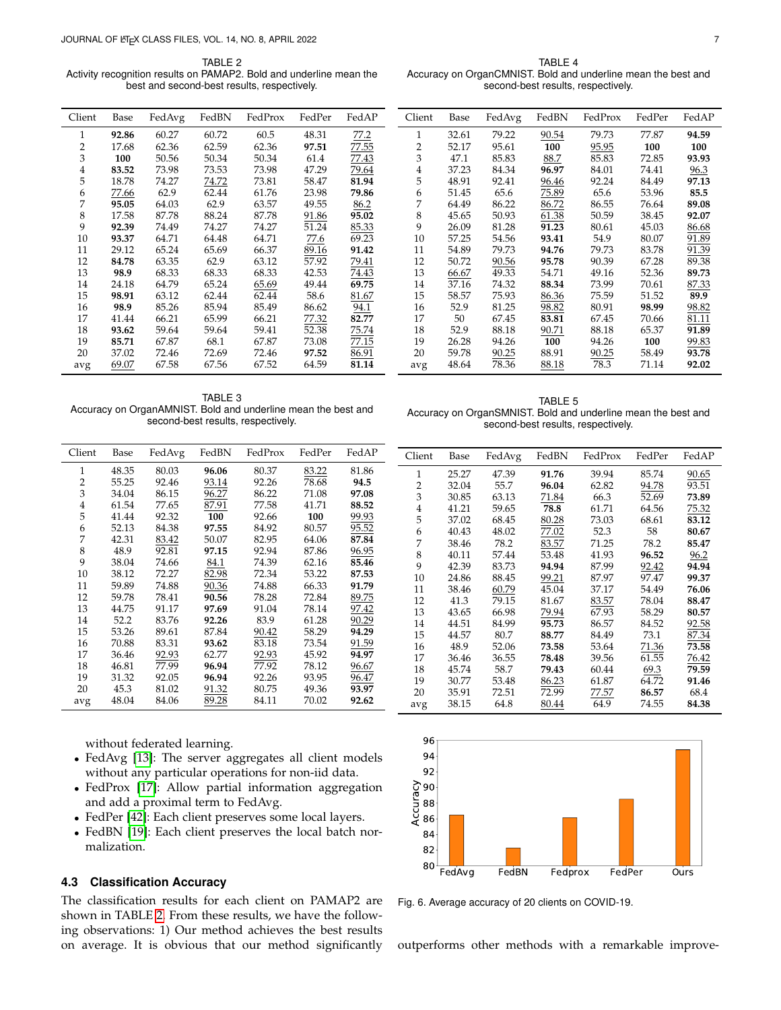<span id="page-6-0"></span>TABLE<sub>2</sub> Activity recognition results on PAMAP2. Bold and underline mean the best and second-best results, respectively.

<span id="page-6-2"></span>TABLE 4 Accuracy on OrganCMNIST. Bold and underline mean the best and second-best results, respectively.

<span id="page-6-3"></span>TABLE 5 Accuracy on OrganSMNIST. Bold and underline mean the best and second-best results, respectively.

| Client       | Base  | FedAvg | FedBN | FedProx | FedPer | FedAP | Client         | Base  | FedAvg | FedBN | FedProx | FedPer | FedAP |
|--------------|-------|--------|-------|---------|--------|-------|----------------|-------|--------|-------|---------|--------|-------|
| $\mathbf{1}$ | 92.86 | 60.27  | 60.72 | 60.5    | 48.31  | 77.2  | 1              | 32.61 | 79.22  | 90.54 | 79.73   | 77.87  | 94.59 |
| 2            | 17.68 | 62.36  | 62.59 | 62.36   | 97.51  | 77.55 | $\overline{2}$ | 52.17 | 95.61  | 100   | 95.95   | 100    | 100   |
| 3            | 100   | 50.56  | 50.34 | 50.34   | 61.4   | 77.43 | 3              | 47.1  | 85.83  | 88.7  | 85.83   | 72.85  | 93.93 |
| 4            | 83.52 | 73.98  | 73.53 | 73.98   | 47.29  | 79.64 | 4              | 37.23 | 84.34  | 96.97 | 84.01   | 74.41  | 96.3  |
| 5            | 18.78 | 74.27  | 74.72 | 73.81   | 58.47  | 81.94 | 5              | 48.91 | 92.41  | 96.46 | 92.24   | 84.49  | 97.13 |
| 6            | 77.66 | 62.9   | 62.44 | 61.76   | 23.98  | 79.86 | 6              | 51.45 | 65.6   | 75.89 | 65.6    | 53.96  | 85.5  |
| 7            | 95.05 | 64.03  | 62.9  | 63.57   | 49.55  | 86.2  | 7              | 64.49 | 86.22  | 86.72 | 86.55   | 76.64  | 89.08 |
| 8            | 17.58 | 87.78  | 88.24 | 87.78   | 91.86  | 95.02 | 8              | 45.65 | 50.93  | 61.38 | 50.59   | 38.45  | 92.07 |
| 9            | 92.39 | 74.49  | 74.27 | 74.27   | 51.24  | 85.33 | 9              | 26.09 | 81.28  | 91.23 | 80.61   | 45.03  | 86.68 |
| 10           | 93.37 | 64.71  | 64.48 | 64.71   | 77.6   | 69.23 | 10             | 57.25 | 54.56  | 93.41 | 54.9    | 80.07  | 91.89 |
| 11           | 29.12 | 65.24  | 65.69 | 66.37   | 89.16  | 91.42 | 11             | 54.89 | 79.73  | 94.76 | 79.73   | 83.78  | 91.39 |
| 12           | 84.78 | 63.35  | 62.9  | 63.12   | 57.92  | 79.41 | 12             | 50.72 | 90.56  | 95.78 | 90.39   | 67.28  | 89.38 |
| 13           | 98.9  | 68.33  | 68.33 | 68.33   | 42.53  | 74.43 | 13             | 66.67 | 49.33  | 54.71 | 49.16   | 52.36  | 89.73 |
| 14           | 24.18 | 64.79  | 65.24 | 65.69   | 49.44  | 69.75 | 14             | 37.16 | 74.32  | 88.34 | 73.99   | 70.61  | 87.33 |
| 15           | 98.91 | 63.12  | 62.44 | 62.44   | 58.6   | 81.67 | 15             | 58.57 | 75.93  | 86.36 | 75.59   | 51.52  | 89.9  |
| 16           | 98.9  | 85.26  | 85.94 | 85.49   | 86.62  | 94.1  | 16             | 52.9  | 81.25  | 98.82 | 80.91   | 98.99  | 98.82 |
| 17           | 41.44 | 66.21  | 65.99 | 66.21   | 77.32  | 82.77 | 17             | 50    | 67.45  | 83.81 | 67.45   | 70.66  | 81.11 |
| 18           | 93.62 | 59.64  | 59.64 | 59.41   | 52.38  | 75.74 | 18             | 52.9  | 88.18  | 90.71 | 88.18   | 65.37  | 91.89 |
| 19           | 85.71 | 67.87  | 68.1  | 67.87   | 73.08  | 77.15 | 19             | 26.28 | 94.26  | 100   | 94.26   | 100    | 99.83 |
| 20           | 37.02 | 72.46  | 72.69 | 72.46   | 97.52  | 86.91 | 20             | 59.78 | 90.25  | 88.91 | 90.25   | 58.49  | 93.78 |
| avg          | 69.07 | 67.58  | 67.56 | 67.52   | 64.59  | 81.14 | avg            | 48.64 | 78.36  | 88.18 | 78.3    | 71.14  | 92.02 |

<span id="page-6-1"></span>TABLE 3 Accuracy on OrganAMNIST. Bold and underline mean the best and second-best results, respectively.

| Client | Base  | FedAvg | FedBN | FedProx | FedPer | FedAP | Client         | Base  | FedAvg | FedBN | FedProx | FedPer | FedAP |
|--------|-------|--------|-------|---------|--------|-------|----------------|-------|--------|-------|---------|--------|-------|
| 1      | 48.35 | 80.03  | 96.06 | 80.37   | 83.22  | 81.86 |                | 25.27 | 47.39  | 91.76 | 39.94   | 85.74  | 90.65 |
| 2      | 55.25 | 92.46  | 93.14 | 92.26   | 78.68  | 94.5  | $\overline{2}$ | 32.04 | 55.7   | 96.04 | 62.82   | 94.78  | 93.51 |
| 3      | 34.04 | 86.15  | 96.27 | 86.22   | 71.08  | 97.08 | 3              | 30.85 | 63.13  | 71.84 | 66.3    | 52.69  | 73.89 |
| 4      | 61.54 | 77.65  | 87.91 | 77.58   | 41.71  | 88.52 | 4              | 41.21 | 59.65  | 78.8  | 61.71   | 64.56  | 75.32 |
| 5      | 41.44 | 92.32  | 100   | 92.66   | 100    | 99.93 | 5              | 37.02 | 68.45  | 80.28 | 73.03   | 68.61  | 83.12 |
| 6      | 52.13 | 84.38  | 97.55 | 84.92   | 80.57  | 95.52 | 6              | 40.43 | 48.02  | 77.02 | 52.3    | 58     | 80.67 |
| 7      | 42.31 | 83.42  | 50.07 | 82.95   | 64.06  | 87.84 | 7              | 38.46 | 78.2   | 83.57 | 71.25   | 78.2   | 85.47 |
| 8      | 48.9  | 92.81  | 97.15 | 92.94   | 87.86  | 96.95 | 8              | 40.11 | 57.44  | 53.48 | 41.93   | 96.52  | 96.2  |
| 9      | 38.04 | 74.66  | 84.1  | 74.39   | 62.16  | 85.46 | 9              | 42.39 | 83.73  | 94.94 | 87.99   | 92.42  | 94.94 |
| 10     | 38.12 | 72.27  | 82.98 | 72.34   | 53.22  | 87.53 | 10             | 24.86 | 88.45  | 99.21 | 87.97   | 97.47  | 99.37 |
| 11     | 59.89 | 74.88  | 90.36 | 74.88   | 66.33  | 91.79 | 11             | 38.46 | 60.79  | 45.04 | 37.17   | 54.49  | 76.06 |
| 12     | 59.78 | 78.41  | 90.56 | 78.28   | 72.84  | 89.75 | 12             | 41.3  | 79.15  | 81.67 | 83.57   | 78.04  | 88.47 |
| 13     | 44.75 | 91.17  | 97.69 | 91.04   | 78.14  | 97.42 | 13             | 43.65 | 66.98  | 79.94 | 67.93   | 58.29  | 80.57 |
| 14     | 52.2  | 83.76  | 92.26 | 83.9    | 61.28  | 90.29 | 14             | 44.51 | 84.99  | 95.73 | 86.57   | 84.52  | 92.58 |
| 15     | 53.26 | 89.61  | 87.84 | 90.42   | 58.29  | 94.29 | 15             | 44.57 | 80.7   | 88.77 | 84.49   | 73.1   | 87.34 |
| 16     | 70.88 | 83.31  | 93.62 | 83.18   | 73.54  | 91.59 | 16             | 48.9  | 52.06  | 73.58 | 53.64   | 71.36  | 73.58 |
| 17     | 36.46 | 92.93  | 62.77 | 92.93   | 45.92  | 94.97 | 17             | 36.46 | 36.55  | 78.48 | 39.56   | 61.55  | 76.42 |
| 18     | 46.81 | 77.99  | 96.94 | 77.92   | 78.12  | 96.67 | 18             | 45.74 | 58.7   | 79.43 | 60.44   | 69.3   | 79.59 |
| 19     | 31.32 | 92.05  | 96.94 | 92.26   | 93.95  | 96.47 | 19             | 30.77 | 53.48  | 86.23 | 61.87   | 64.72  | 91.46 |
| 20     | 45.3  | 81.02  | 91.32 | 80.75   | 49.36  | 93.97 | 20             | 35.91 | 72.51  | 72.99 | 77.57   | 86.57  | 68.4  |
| avg    | 48.04 | 84.06  | 89.28 | 84.11   | 70.02  | 92.62 | avg            | 38.15 | 64.8   | 80.44 | 64.9    | 74.55  | 84.38 |
|        |       |        |       |         |        |       |                |       |        |       |         |        |       |

without federated learning.

- FedAvg [\[13\]](#page-9-12): The server aggregates all client models without any particular operations for non-iid data.
- FedProx [\[17\]](#page-9-16): Allow partial information aggregation and add a proximal term to FedAvg.
- FedPer [\[42\]](#page-9-41): Each client preserves some local layers.
- FedBN [\[19\]](#page-9-18): Each client preserves the local batch normalization.

# **4.3 Classification Accuracy**

The classification results for each client on PAMAP2 are shown in TABLE [2.](#page-6-0) From these results, we have the following observations: 1) Our method achieves the best results on average. It is obvious that our method significantly



<span id="page-6-4"></span>Fig. 6. Average accuracy of 20 clients on COVID-19.

outperforms other methods with a remarkable improve-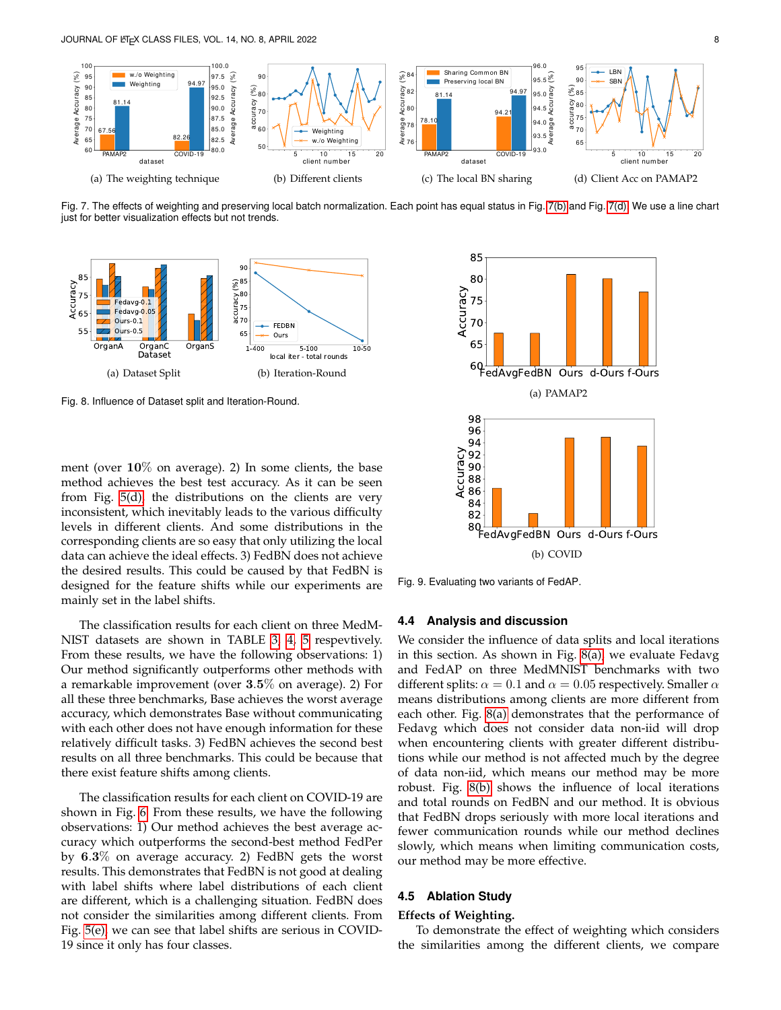<span id="page-7-4"></span>

<span id="page-7-0"></span>Fig. 7. The effects of weighting and preserving local batch normalization. Each point has equal status in Fig. [7\(b\)](#page-7-0) and Fig. [7\(d\).](#page-7-1) We use a line chart just for better visualization effects but not trends.

<span id="page-7-2"></span>

<span id="page-7-3"></span>Fig. 8. Influence of Dataset split and Iteration-Round.

ment (over  $10\%$  on average). 2) In some clients, the base method achieves the best test accuracy. As it can be seen from Fig. [5\(d\),](#page-5-1) the distributions on the clients are very inconsistent, which inevitably leads to the various difficulty levels in different clients. And some distributions in the corresponding clients are so easy that only utilizing the local data can achieve the ideal effects. 3) FedBN does not achieve the desired results. This could be caused by that FedBN is designed for the feature shifts while our experiments are mainly set in the label shifts.

The classification results for each client on three MedM-NIST datasets are shown in TABLE [3,](#page-6-1) [4,](#page-6-2) [5](#page-6-3) respevtively. From these results, we have the following observations: 1) Our method significantly outperforms other methods with a remarkable improvement (over 3.5% on average). 2) For all these three benchmarks, Base achieves the worst average accuracy, which demonstrates Base without communicating with each other does not have enough information for these relatively difficult tasks. 3) FedBN achieves the second best results on all three benchmarks. This could be because that there exist feature shifts among clients.

The classification results for each client on COVID-19 are shown in Fig. [6.](#page-6-4) From these results, we have the following observations: 1) Our method achieves the best average accuracy which outperforms the second-best method FedPer by 6.3% on average accuracy. 2) FedBN gets the worst results. This demonstrates that FedBN is not good at dealing with label shifts where label distributions of each client are different, which is a challenging situation. FedBN does not consider the similarities among different clients. From Fig. [5\(e\),](#page-5-2) we can see that label shifts are serious in COVID-19 since it only has four classes.

<span id="page-7-6"></span><span id="page-7-5"></span><span id="page-7-1"></span>

<span id="page-7-7"></span>Fig. 9. Evaluating two variants of FedAP.

#### **4.4 Analysis and discussion**

We consider the influence of data splits and local iterations in this section. As shown in Fig. [8\(a\),](#page-7-2) we evaluate Fedavg and FedAP on three MedMNIST benchmarks with two different splits:  $\alpha = 0.1$  and  $\alpha = 0.05$  respectively. Smaller  $\alpha$ means distributions among clients are more different from each other. Fig. [8\(a\)](#page-7-2) demonstrates that the performance of Fedavg which does not consider data non-iid will drop when encountering clients with greater different distributions while our method is not affected much by the degree of data non-iid, which means our method may be more robust. Fig. [8\(b\)](#page-7-3) shows the influence of local iterations and total rounds on FedBN and our method. It is obvious that FedBN drops seriously with more local iterations and fewer communication rounds while our method declines slowly, which means when limiting communication costs, our method may be more effective.

# **4.5 Ablation Study**

#### **Effects of Weighting.**

To demonstrate the effect of weighting which considers the similarities among the different clients, we compare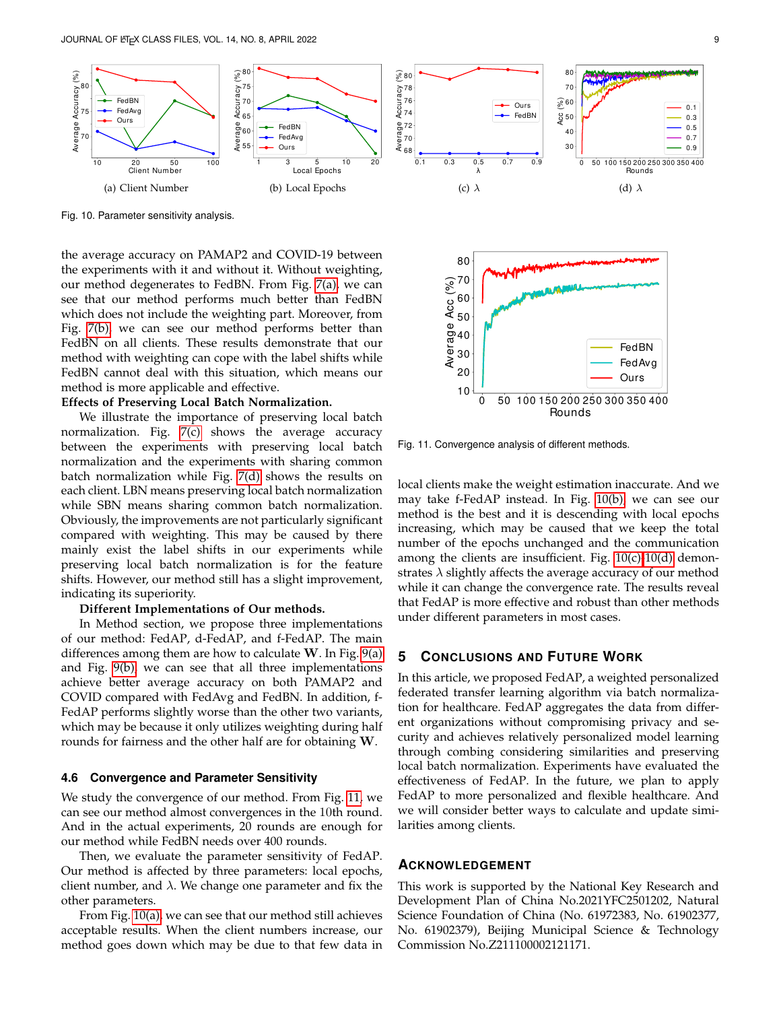<span id="page-8-1"></span>

<span id="page-8-2"></span>Fig. 10. Parameter sensitivity analysis.

the average accuracy on PAMAP2 and COVID-19 between the experiments with it and without it. Without weighting, our method degenerates to FedBN. From Fig. [7\(a\),](#page-7-4) we can see that our method performs much better than FedBN which does not include the weighting part. Moreover, from Fig. [7\(b\),](#page-7-0) we can see our method performs better than FedBN on all clients. These results demonstrate that our method with weighting can cope with the label shifts while FedBN cannot deal with this situation, which means our method is more applicable and effective.

## **Effects of Preserving Local Batch Normalization.**

We illustrate the importance of preserving local batch normalization. Fig. [7\(c\)](#page-7-5) shows the average accuracy between the experiments with preserving local batch normalization and the experiments with sharing common batch normalization while Fig. [7\(d\)](#page-7-1) shows the results on each client. LBN means preserving local batch normalization while SBN means sharing common batch normalization. Obviously, the improvements are not particularly significant compared with weighting. This may be caused by there mainly exist the label shifts in our experiments while preserving local batch normalization is for the feature shifts. However, our method still has a slight improvement, indicating its superiority. Effects of corresponds based based based based based based based of Preserving local based and the experimentation. Fig. 7(c) shows the average accuracy between the experiments with the aircrogression home and the corresp

#### **Different Implementations of Our methods.**

In Method section, we propose three implementations of our method: FedAP, d-FedAP, and f-FedAP. The main differences among them are how to calculate  $W$ . In Fig.  $9(a)$ and Fig. [9\(b\),](#page-7-7) we can see that all three implementations achieve better average accuracy on both PAMAP2 and COVID compared with FedAvg and FedBN. In addition, f-FedAP performs slightly worse than the other two variants, which may be because it only utilizes weighting during half rounds for fairness and the other half are for obtaining W.

# **4.6 Convergence and Parameter Sensitivity**

We study the convergence of our method. From Fig. [11,](#page-8-0) we can see our method almost convergences in the 10th round. And in the actual experiments, 20 rounds are enough for our method while FedBN needs over 400 rounds.

Then, we evaluate the parameter sensitivity of FedAP. Our method is affected by three parameters: local epochs, client number, and  $\lambda$ . We change one parameter and fix the other parameters.

From Fig. [10\(a\),](#page-8-1) we can see that our method still achieves acceptable results. When the client numbers increase, our

<span id="page-8-4"></span><span id="page-8-3"></span>

<span id="page-8-0"></span>Fig. 11. Convergence analysis of different methods.

local clients make the weight estimation inaccurate. And we may take f-FedAP instead. In Fig. [10\(b\),](#page-8-2) we can see our method is the best and it is descending with local epochs increasing, which may be caused that we keep the total number of the epochs unchanged and the communication among the clients are insufficient. Fig.  $10(c)$ - $10(d)$  demonstrates  $\lambda$  slightly affects the average accuracy of our method while it can change the convergence rate. The results reveal that FedAP is more effective and robust than other methods under different parameters in most cases.

# **5 CONCLUSIONS AND FUTURE WORK**

In this article, we proposed FedAP, a weighted personalized federated transfer learning algorithm via batch normalization for healthcare. FedAP aggregates the data from different organizations without compromising privacy and security and achieves relatively personalized model learning through combing considering similarities and preserving local batch normalization. Experiments have evaluated the effectiveness of FedAP. In the future, we plan to apply FedAP to more personalized and flexible healthcare. And we will consider better ways to calculate and update similarities among clients.

# **ACKNOWLEDGEMENT**

This work is supported by the National Key Research and Development Plan of China No.2021YFC2501202, Natural Science Foundation of China (No. 61972383, No. 61902377, No. 61902379), Beijing Municipal Science & Technology Commission No.Z211100002121171.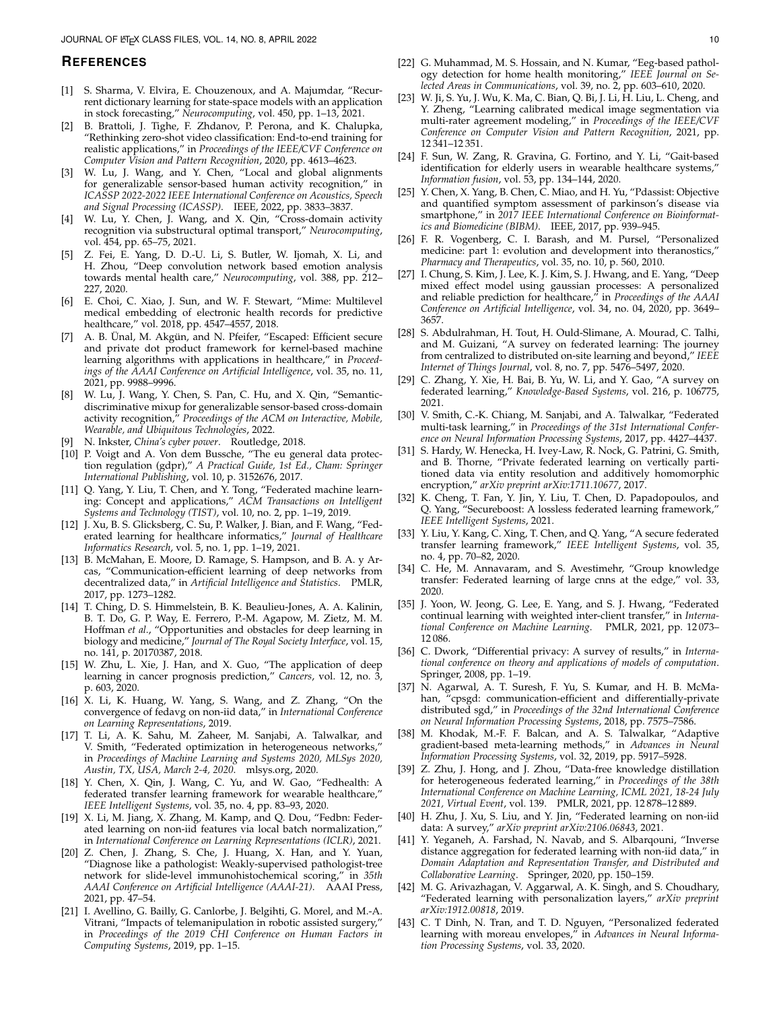#### **REFERENCES**

- <span id="page-9-0"></span>[1] S. Sharma, V. Elvira, E. Chouzenoux, and A. Majumdar, "Recurrent dictionary learning for state-space models with an application in stock forecasting," *Neurocomputing*, vol. 450, pp. 1–13, 2021.
- <span id="page-9-1"></span>B. Brattoli, J. Tighe, F. Zhdanov, P. Perona, and K. Chalupka, "Rethinking zero-shot video classification: End-to-end training for realistic applications," in *Proceedings of the IEEE/CVF Conference on Computer Vision and Pattern Recognition*, 2020, pp. 4613–4623.
- <span id="page-9-2"></span>[3] W. Lu, J. Wang, and Y. Chen, "Local and global alignments for generalizable sensor-based human activity recognition," in *ICASSP 2022-2022 IEEE International Conference on Acoustics, Speech and Signal Processing (ICASSP)*. IEEE, 2022, pp. 3833–3837.
- <span id="page-9-3"></span>[4] W. Lu, Y. Chen, J. Wang, and X. Qin, "Cross-domain activity recognition via substructural optimal transport," *Neurocomputing*, vol. 454, pp. 65–75, 2021.
- <span id="page-9-4"></span>[5] Z. Fei, E. Yang, D. D.-U. Li, S. Butler, W. Ijomah, X. Li, and H. Zhou, "Deep convolution network based emotion analysis towards mental health care," *Neurocomputing*, vol. 388, pp. 212– 227, 2020.
- <span id="page-9-5"></span>[6] E. Choi, C. Xiao, J. Sun, and W. F. Stewart, "Mime: Multilevel medical embedding of electronic health records for predictive healthcare," vol. 2018, pp. 4547–4557, 2018.
- <span id="page-9-6"></span>[7] A. B. Ünal, M. Akgün, and N. Pfeifer, "Escaped: Efficient secure and private dot product framework for kernel-based machine learning algorithms with applications in healthcare," in *Proceedings of the AAAI Conference on Artificial Intelligence*, vol. 35, no. 11, 2021, pp. 9988–9996.
- <span id="page-9-7"></span>[8] W. Lu, J. Wang, Y. Chen, S. Pan, C. Hu, and X. Qin, "Semanticdiscriminative mixup for generalizable sensor-based cross-domain activity recognition," *Proceedings of the ACM on Interactive, Mobile, Wearable, and Ubiquitous Technologies*, 2022.
- <span id="page-9-8"></span>[9] N. Inkster, *China's cyber power*. Routledge, 2018.
- <span id="page-9-9"></span>[10] P. Voigt and A. Von dem Bussche, "The eu general data protection regulation (gdpr)," *A Practical Guide, 1st Ed., Cham: Springer International Publishing*, vol. 10, p. 3152676, 2017.
- <span id="page-9-10"></span>[11] Q. Yang, Y. Liu, T. Chen, and Y. Tong, "Federated machine learning: Concept and applications," *ACM Transactions on Intelligent Systems and Technology (TIST)*, vol. 10, no. 2, pp. 1–19, 2019.
- <span id="page-9-11"></span>[12] J. Xu, B. S. Glicksberg, C. Su, P. Walker, J. Bian, and F. Wang, "Federated learning for healthcare informatics," *Journal of Healthcare Informatics Research*, vol. 5, no. 1, pp. 1–19, 2021.
- <span id="page-9-12"></span>[13] B. McMahan, E. Moore, D. Ramage, S. Hampson, and B. A. y Arcas, "Communication-efficient learning of deep networks from decentralized data," in *Artificial Intelligence and Statistics*. PMLR, 2017, pp. 1273–1282.
- <span id="page-9-13"></span>[14] T. Ching, D. S. Himmelstein, B. K. Beaulieu-Jones, A. A. Kalinin, B. T. Do, G. P. Way, E. Ferrero, P.-M. Agapow, M. Zietz, M. M. Hoffman *et al.*, "Opportunities and obstacles for deep learning in biology and medicine," *Journal of The Royal Society Interface*, vol. 15, no. 141, p. 20170387, 2018.
- <span id="page-9-14"></span>[15] W. Zhu, L. Xie, J. Han, and X. Guo, "The application of deep learning in cancer prognosis prediction," *Cancers*, vol. 12, no. 3, p. 603, 2020.
- <span id="page-9-15"></span>[16] X. Li, K. Huang, W. Yang, S. Wang, and Z. Zhang, "On the convergence of fedavg on non-iid data," in *International Conference on Learning Representations*, 2019.
- <span id="page-9-16"></span>[17] T. Li, A. K. Sahu, M. Zaheer, M. Sanjabi, A. Talwalkar, and V. Smith, "Federated optimization in heterogeneous networks, in *Proceedings of Machine Learning and Systems 2020, MLSys 2020, Austin, TX, USA, March 2-4, 2020*. mlsys.org, 2020.
- <span id="page-9-17"></span>[18] Y. Chen, X. Qin, J. Wang, C. Yu, and W. Gao, "Fedhealth: A federated transfer learning framework for wearable healthcare," *IEEE Intelligent Systems*, vol. 35, no. 4, pp. 83–93, 2020.
- <span id="page-9-18"></span>[19] X. Li, M. Jiang, X. Zhang, M. Kamp, and Q. Dou, "Fedbn: Federated learning on non-iid features via local batch normalization," in *International Conference on Learning Representations (ICLR)*, 2021.
- <span id="page-9-19"></span>[20] Z. Chen, J. Zhang, S. Che, J. Huang, X. Han, and Y. Yuan, "Diagnose like a pathologist: Weakly-supervised pathologist-tree network for slide-level immunohistochemical scoring," in *35th AAAI Conference on Artificial Intelligence (AAAI-21)*. AAAI Press, 2021, pp. 47–54.
- <span id="page-9-20"></span>[21] I. Avellino, G. Bailly, G. Canlorbe, J. Belgihti, G. Morel, and M.-A. Vitrani, "Impacts of telemanipulation in robotic assisted surgery," in *Proceedings of the 2019 CHI Conference on Human Factors in Computing Systems*, 2019, pp. 1–15.
- <span id="page-9-22"></span><span id="page-9-21"></span>[23] W. Ji, S. Yu, J. Wu, K. Ma, C. Bian, Q. Bi, J. Li, H. Liu, L. Cheng, and Y. Zheng, "Learning calibrated medical image segmentation via multi-rater agreement modeling," in *Proceedings of the IEEE/CVF Conference on Computer Vision and Pattern Recognition*, 2021, pp. 12 341–12 351.
- <span id="page-9-23"></span>[24] F. Sun, W. Zang, R. Gravina, G. Fortino, and Y. Li, "Gait-based identification for elderly users in wearable healthcare systems,' *Information fusion*, vol. 53, pp. 134–144, 2020.
- <span id="page-9-24"></span>[25] Y. Chen, X. Yang, B. Chen, C. Miao, and H. Yu, "Pdassist: Objective and quantified symptom assessment of parkinson's disease via smartphone," in *2017 IEEE International Conference on Bioinformatics and Biomedicine (BIBM)*. IEEE, 2017, pp. 939–945.
- <span id="page-9-25"></span>[26] F. R. Vogenberg, C. I. Barash, and M. Pursel, "Personalized medicine: part 1: evolution and development into theranostics," *Pharmacy and Therapeutics*, vol. 35, no. 10, p. 560, 2010.
- <span id="page-9-26"></span>[27] I. Chung, S. Kim, J. Lee, K. J. Kim, S. J. Hwang, and E. Yang, "Deep mixed effect model using gaussian processes: A personalized and reliable prediction for healthcare," in *Proceedings of the AAAI Conference on Artificial Intelligence*, vol. 34, no. 04, 2020, pp. 3649– 3657.
- <span id="page-9-27"></span>[28] S. Abdulrahman, H. Tout, H. Ould-Slimane, A. Mourad, C. Talhi, and M. Guizani, "A survey on federated learning: The journey from centralized to distributed on-site learning and beyond," *IEEE Internet of Things Journal*, vol. 8, no. 7, pp. 5476–5497, 2020.
- <span id="page-9-28"></span>[29] C. Zhang, Y. Xie, H. Bai, B. Yu, W. Li, and Y. Gao, "A survey on federated learning," *Knowledge-Based Systems*, vol. 216, p. 106775, 2021.
- <span id="page-9-29"></span>[30] V. Smith, C.-K. Chiang, M. Sanjabi, and A. Talwalkar, "Federated multi-task learning," in *Proceedings of the 31st International Conference on Neural Information Processing Systems*, 2017, pp. 4427–4437.
- <span id="page-9-30"></span>[31] S. Hardy, W. Henecka, H. Ivey-Law, R. Nock, G. Patrini, G. Smith, and B. Thorne, "Private federated learning on vertically partitioned data via entity resolution and additively homomorphic encryption," *arXiv preprint arXiv:1711.10677*, 2017.
- <span id="page-9-31"></span>[32] K. Cheng, T. Fan, Y. Jin, Y. Liu, T. Chen, D. Papadopoulos, and Q. Yang, "Secureboost: A lossless federated learning framework," *IEEE Intelligent Systems*, 2021.
- <span id="page-9-32"></span>[33] Y. Liu, Y. Kang, C. Xing, T. Chen, and Q. Yang, "A secure federated transfer learning framework," *IEEE Intelligent Systems*, vol. 35, no. 4, pp. 70–82, 2020.
- <span id="page-9-33"></span>[34] C. He, M. Annavaram, and S. Avestimehr, "Group knowledge transfer: Federated learning of large cnns at the edge," vol. 33, 2020.
- <span id="page-9-34"></span>[35] J. Yoon, W. Jeong, G. Lee, E. Yang, and S. J. Hwang, "Federated continual learning with weighted inter-client transfer," in *International Conference on Machine Learning*. PMLR, 2021, pp. 12 073– 12 086.
- <span id="page-9-35"></span>[36] C. Dwork, "Differential privacy: A survey of results," in *International conference on theory and applications of models of computation*. Springer, 2008, pp. 1–19.
- <span id="page-9-36"></span>[37] N. Agarwal, A. T. Suresh, F. Yu, S. Kumar, and H. B. McMahan, "cpsgd: communication-efficient and differentially-private distributed sgd," in *Proceedings of the 32nd International Conference on Neural Information Processing Systems*, 2018, pp. 7575–7586.
- <span id="page-9-37"></span>[38] M. Khodak, M.-F. F. Balcan, and A. S. Talwalkar, "Adaptive gradient-based meta-learning methods," in *Advances in Neural Information Processing Systems*, vol. 32, 2019, pp. 5917–5928.
- <span id="page-9-38"></span>[39] Z. Zhu, J. Hong, and J. Zhou, "Data-free knowledge distillation for heterogeneous federated learning," in *Proceedings of the 38th International Conference on Machine Learning, ICML 2021, 18-24 July 2021, Virtual Event*, vol. 139. PMLR, 2021, pp. 12 878–12 889.
- <span id="page-9-39"></span>[40] H. Zhu, J. Xu, S. Liu, and Y. Jin, "Federated learning on non-iid data: A survey," *arXiv preprint arXiv:2106.06843*, 2021.
- <span id="page-9-40"></span>[41] Y. Yeganeh, A. Farshad, N. Navab, and S. Albarqouni, "Inverse distance aggregation for federated learning with non-iid data," in *Domain Adaptation and Representation Transfer, and Distributed and Collaborative Learning*. Springer, 2020, pp. 150–159.
- <span id="page-9-41"></span>[42] M. G. Arivazhagan, V. Aggarwal, A. K. Singh, and S. Choudhary, "Federated learning with personalization layers," *arXiv preprint arXiv:1912.00818*, 2019.
- <span id="page-9-42"></span>[43] C. T Dinh, N. Tran, and T. D. Nguyen, "Personalized federated learning with moreau envelopes," in *Advances in Neural Information Processing Systems*, vol. 33, 2020.